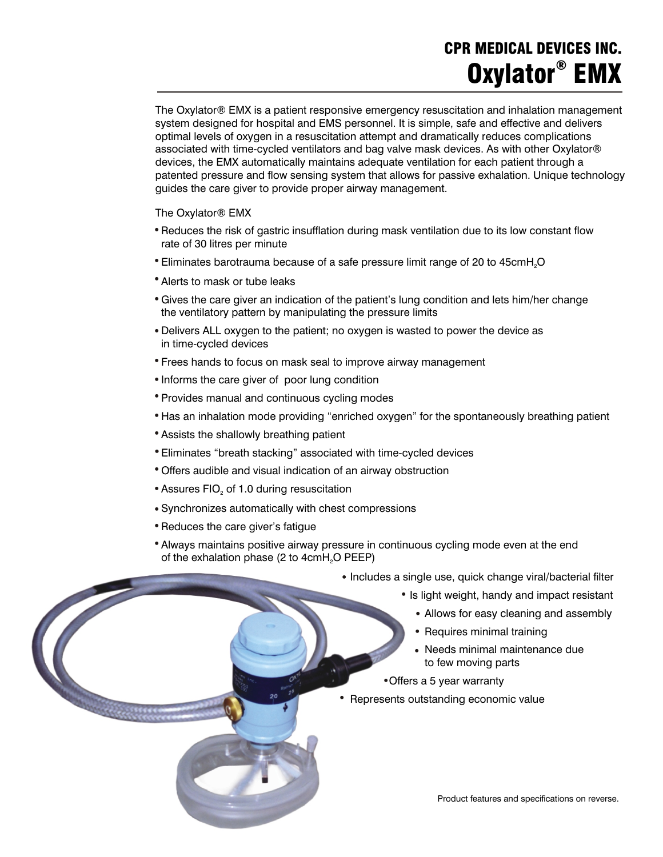### **CPR MEDICAL DEVICES INC. ® Oxylator EMX**

The Oxylator® EMX is a patient responsive emergency resuscitation and inhalation management system designed for hospital and EMS personnel. It is simple, safe and effective and delivers optimal levels of oxygen in a resuscitation attempt and dramatically reduces complications associated with time-cycled ventilators and bag valve mask devices. As with other Oxylator® devices, the EMX automatically maintains adequate ventilation for each patient through a patented pressure and flow sensing system that allows for passive exhalation. Unique technology guides the care giver to provide proper airway management.

The Oxylator® EMX

- Reduces the risk of gastric insufflation during mask ventilation due to its low constant flow rate of 30 litres per minute ·
- $\bullet$  Eliminates barotrauma because of a safe pressure limit range of 20 to 45cmH<sub>2</sub>O ·
- Alerts to mask or tube leaks ·
- Gives the care giver an indication of the patient's lung condition and lets him/her change the ventilatory pattern by manipulating the pressure limits ·<br>·<br>·
- Delivers ALL oxygen to the patient; no oxygen is wasted to power the device as in time-cycled devices ·
- Frees hands to focus on mask seal to improve airway management ·
- Informs the care giver of poor lung condition ·
- Provides manual and continuous cycling modes ·
- Has an inhalation mode providing "enriched oxygen" for the spontaneously breathing patient ·
- Assists the shallowly breathing patient ·
- Eliminates "breath stacking" associated with time-cycled devices ،<br>ا•
- Offers audible and visual indication of an airway obstruction ·
- $\bullet$  Assures FIO $_2$  of 1.0 during resuscitation ·
- Synchronizes automatically with chest compressions ·
- Reduces the care giver's fatigue ·
- Always maintains positive airway pressure in continuous cycling mode even at the end of the exhalation phase (2 to  $4$ cm $H<sub>2</sub>O$  PEEP) ·
- Includes a single use, quick change viral/bacterial filter ·
- **IS light weight, handy and impact resistant** ·<br>·<br>·
	- Allows for easy cleaning and assembly
- Allows for easy cleaning a<br>• Requires minimal training ·
- Needs minimal maintenance due to few moving parts ·
	- Offers a 5 year warranty
- experience of the standing parts of the standing economic value ·